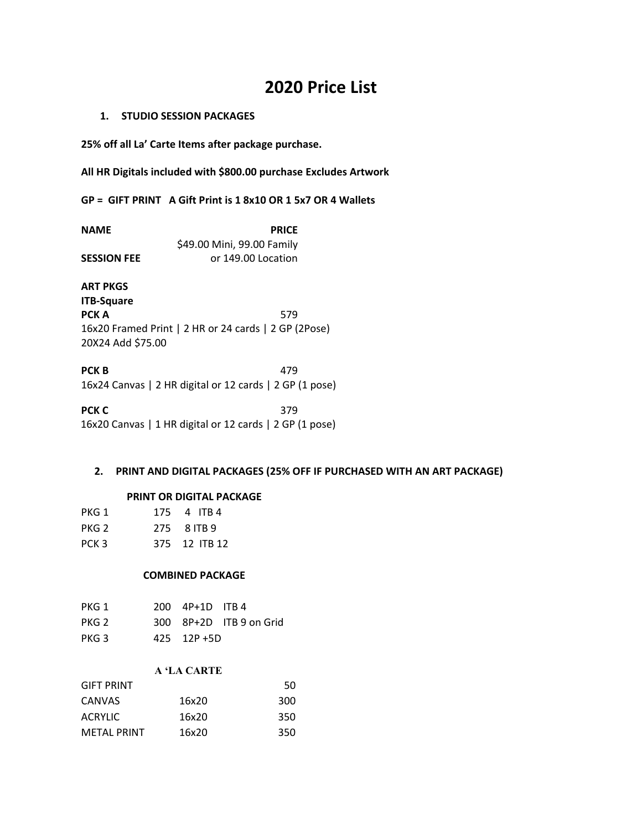# **2020 Price List**

## **1. STUDIO SESSION PACKAGES**

**25% off all La' Carte Items after package purchase.**

**All HR Digitals included with \$800.00 purchase Excludes Artwork**

**GP = GIFT PRINT A Gift Print is 1 8x10 OR 1 5x7 OR 4 Wallets**

| <b>NAME</b>        | <b>PRICE</b>               |
|--------------------|----------------------------|
|                    | \$49.00 Mini, 99.00 Family |
| <b>SESSION FEE</b> | or 149.00 Location         |

**ART PKGS ITB-Square PCK A** 579 16x20 Framed Print | 2 HR or 24 cards | 2 GP (2Pose) 20X24 Add \$75.00

**PCK B** 479 16x24 Canvas | 2 HR digital or 12 cards | 2 GP (1 pose)

**PCK C** 379 16x20 Canvas | 1 HR digital or 12 cards | 2 GP (1 pose)

## **2. PRINT AND DIGITAL PACKAGES (25% OFF IF PURCHASED WITH AN ART PACKAGE)**

#### **PRINT OR DIGITAL PACKAGE**

| PKG 1 | 175 4 ITB 4   |
|-------|---------------|
| PKG 2 | 275 8 ITB 9   |
| PCK 3 | 375 12 ITB 12 |

#### **COMBINED PACKAGE**

| PKG 1 | $200 \quad 4P+1D \quad ITB 4$ |                         |
|-------|-------------------------------|-------------------------|
| PKG 2 |                               | 300 8P+2D ITB 9 on Grid |
| PKG 3 | $425$ 12P +5D                 |                         |

### **A 'LA CARTE**

| <b>GIFT PRINT</b>  |       | 50  |
|--------------------|-------|-----|
| <b>CANVAS</b>      | 16x20 | 300 |
| <b>ACRYLIC</b>     | 16x20 | 350 |
| <b>METAL PRINT</b> | 16x20 | 350 |